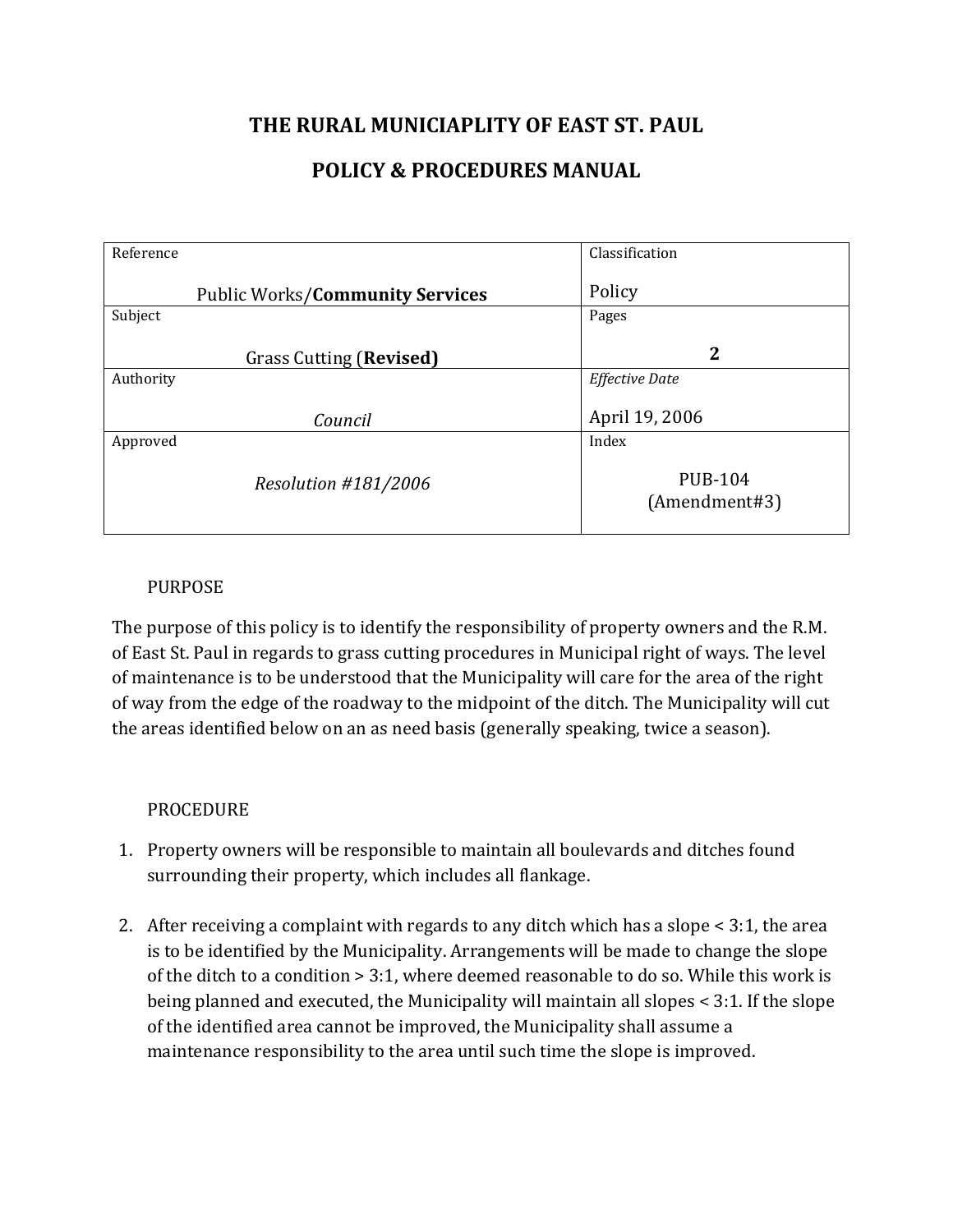## THE RURAL MUNICIAPLITY OF EAST ST. PAUL

## POLICY & PROCEDURES MANUAL

| Reference |                                        | Classification                  |
|-----------|----------------------------------------|---------------------------------|
|           | <b>Public Works/Community Services</b> | Policy                          |
| Subject   |                                        | Pages                           |
|           | Grass Cutting (Revised)                | $\mathbf 2$                     |
| Authority |                                        | <b>Effective Date</b>           |
|           | Council                                | April 19, 2006                  |
| Approved  |                                        | Index                           |
|           | Resolution #181/2006                   | <b>PUB-104</b><br>(Amendment#3) |

## PURPOSE

The purpose of this policy is to identify the responsibility of property owners and the R.M. of East St. Paul in regards to grass cutting procedures in Municipal right of ways. The level of maintenance is to be understood that the Municipality will care for the area of the right of way from the edge of the roadway to the midpoint of the ditch. The Municipality will cut the areas identified below on an as need basis (generally speaking, twice a season).

## PROCEDURE

- 1. Property owners will be responsible to maintain all boulevards and ditches found surrounding their property, which includes all flankage.
- 2. After receiving a complaint with regards to any ditch which has a slope < 3:1, the area is to be identified by the Municipality. Arrangements will be made to change the slope of the ditch to a condition > 3:1, where deemed reasonable to do so. While this work is being planned and executed, the Municipality will maintain all slopes < 3:1. If the slope of the identified area cannot be improved, the Municipality shall assume a maintenance responsibility to the area until such time the slope is improved.